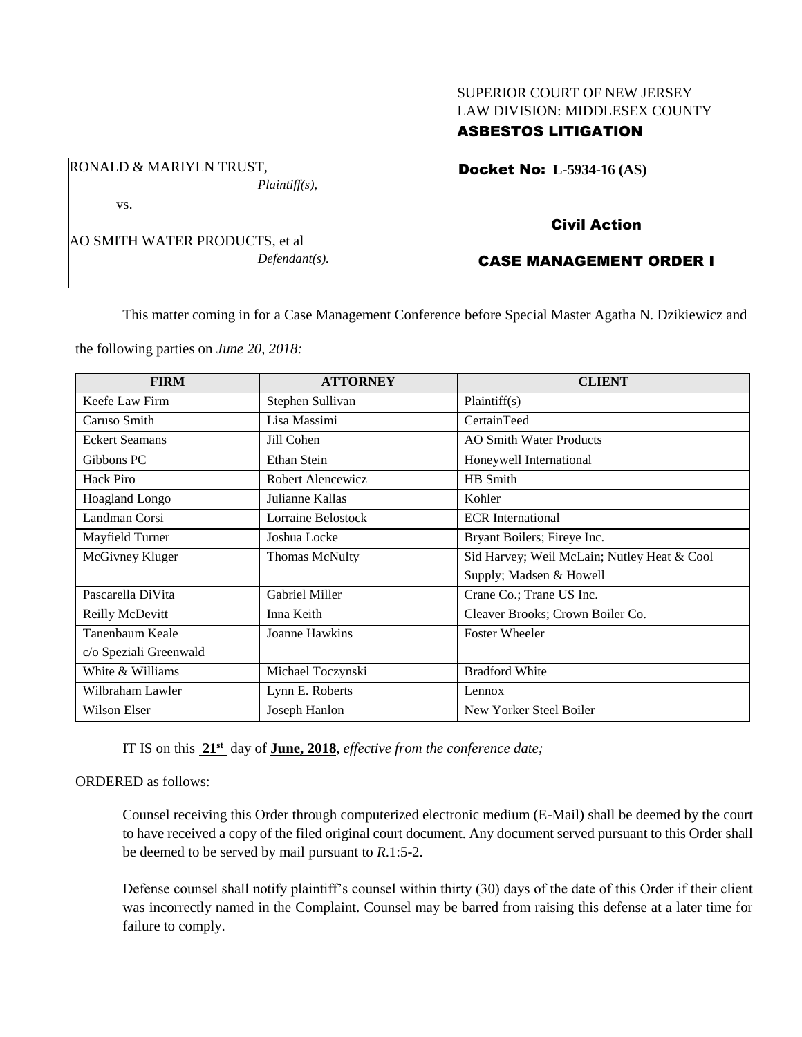# SUPERIOR COURT OF NEW JERSEY LAW DIVISION: MIDDLESEX COUNTY

## ASBESTOS LITIGATION

Docket No: **L-5934-16 (AS)** 

vs.

AO SMITH WATER PRODUCTS, et al *Defendant(s).*

*Plaintiff(s),*

RONALD & MARIYLN TRUST,

### Civil Action

## CASE MANAGEMENT ORDER I

This matter coming in for a Case Management Conference before Special Master Agatha N. Dzikiewicz and

the following parties on *June 20, 2018:*

| <b>FIRM</b>            | <b>ATTORNEY</b>       | <b>CLIENT</b>                               |
|------------------------|-----------------------|---------------------------------------------|
| Keefe Law Firm         | Stephen Sullivan      | Plaintiff(s)                                |
| Caruso Smith           | Lisa Massimi          | CertainTeed                                 |
| <b>Eckert Seamans</b>  | Jill Cohen            | <b>AO Smith Water Products</b>              |
| Gibbons PC             | Ethan Stein           | Honeywell International                     |
| Hack Piro              | Robert Alencewicz     | HB Smith                                    |
| Hoagland Longo         | Julianne Kallas       | Kohler                                      |
| Landman Corsi          | Lorraine Belostock    | <b>ECR</b> International                    |
| Mayfield Turner        | Joshua Locke          | Bryant Boilers; Fireye Inc.                 |
| McGivney Kluger        | <b>Thomas McNulty</b> | Sid Harvey; Weil McLain; Nutley Heat & Cool |
|                        |                       | Supply; Madsen & Howell                     |
| Pascarella DiVita      | Gabriel Miller        | Crane Co.; Trane US Inc.                    |
| Reilly McDevitt        | Inna Keith            | Cleaver Brooks; Crown Boiler Co.            |
| Tanenbaum Keale        | Joanne Hawkins        | <b>Foster Wheeler</b>                       |
| c/o Speziali Greenwald |                       |                                             |
| White & Williams       | Michael Toczynski     | <b>Bradford White</b>                       |
| Wilbraham Lawler       | Lynn E. Roberts       | Lennox                                      |
| Wilson Elser           | Joseph Hanlon         | New Yorker Steel Boiler                     |

IT IS on this **21st** day of **June, 2018**, *effective from the conference date;*

#### ORDERED as follows:

Counsel receiving this Order through computerized electronic medium (E-Mail) shall be deemed by the court to have received a copy of the filed original court document. Any document served pursuant to this Order shall be deemed to be served by mail pursuant to *R*.1:5-2.

Defense counsel shall notify plaintiff's counsel within thirty (30) days of the date of this Order if their client was incorrectly named in the Complaint. Counsel may be barred from raising this defense at a later time for failure to comply.